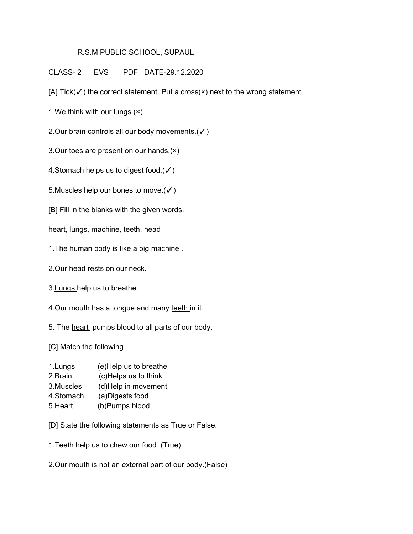## R.S.M PUBLIC SCHOOL, SUPAUL

CLASS- 2 EVS PDF DATE-29.12.2020

[A] Tick(√) the correct statement. Put a cross(×) next to the wrong statement.

1.We think with our lungs.(×)

2.Our brain controls all our body movements.(✓)

3.Our toes are present on our hands.(×)

4. Stomach helps us to digest food. $($  $\checkmark$ )

5. Muscles help our bones to move.  $(\checkmark)$ 

[B] Fill in the blanks with the given words.

heart, lungs, machine, teeth, head

1.The human body is like a big machine .

2.Our head rests on our neck.

3.Lungs help us to breathe.

4. Our mouth has a tongue and many teeth in it.

5. The heart pumps blood to all parts of our body.

[C] Match the following

- 1.Lungs (e)Help us to breathe
- 2.Brain (c)Helps us to think
- 3.Muscles (d)Help in movement
- 4.Stomach (a)Digests food
- 5.Heart (b)Pumps blood

[D] State the following statements as True or False.

1.Teeth help us to chew our food. (True)

2.Our mouth is not an external part of our body.(False)